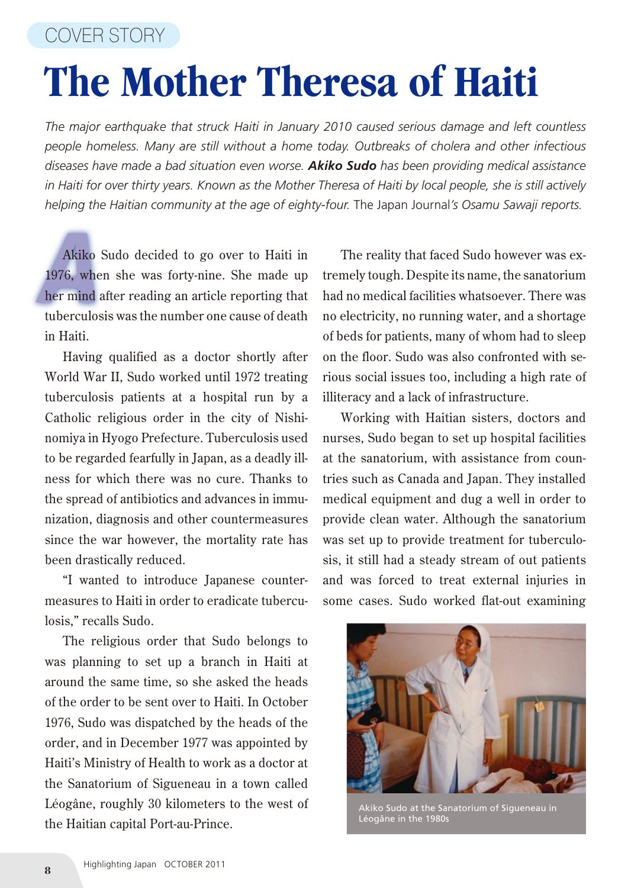## **The Mother Theresa of Haiti**

*The major earthquake that struck Haiti in January 2010 caused serious damage and left countless people homeless. Many are still without a home today. Outbreaks of cholera and other infectious diseases have made a bad situation even worse. Akiko Sudo has been providing medical assistance in Haiti for over thirty years. Known as the Mother Theresa of Haiti by local people, she is still actively helping the Haitian community at the age of eighty-four.* The Japan Journal*'s Osamu Sawaji reports.*

Akiko Sudo decided to go over to Haiti in 1976, when she was forty-nine. She made up her mind after reading an article reporting that Akiko Sudo decided to go over to Haiti in 1976, when she was forty-nine. She made up tuberculosis was the number one cause of death in Haiti.

Having qualified as a doctor shortly after World War II, Sudo worked until 1972 treating tuberculosis patients at a hospital run by a Catholic religious order in the city of Nishinomiya in Hyogo Prefecture. Tuberculosis used to be regarded fearfully in Japan, as a deadly illness for which there was no cure. Thanks to the spread of antibiotics and advances in immunization, diagnosis and other countermeasures since the war however, the mortality rate has been drastically reduced.

"I wanted to introduce Japanese countermeasures to Haiti in order to eradicate tuberculosis," recalls Sudo.

The religious order that Sudo belongs to was planning to set up a branch in Haiti at around the same time, so she asked the heads of the order to be sent over to Haiti. In October 1976, Sudo was dispatched by the heads of the order, and in December 1977 was appointed by Haiti's Ministry of Health to work as a doctor at the Sanatorium of Sigueneau in a town called Léogâne, roughly 30 kilometers to the west of the Haitian capital Port-au-Prince.

The reality that faced Sudo however was extremely tough. Despite its name, the sanatorium had no medical facilities whatsoever. There was no electricity, no running water, and a shortage of beds for patients, many of whom had to sleep on the floor. Sudo was also confronted with serious social issues too, including a high rate of illiteracy and a lack of infrastructure.

Working with Haitian sisters, doctors and nurses, Sudo began to set up hospital facilities at the sanatorium, with assistance from countries such as Canada and Japan. They installed medical equipment and dug a well in order to provide clean water. Although the sanatorium was set up to provide treatment for tuberculosis, it still had a steady stream of out patients and was forced to treat external injuries in some cases. Sudo worked flat-out examining



Akiko Sudo at the Sanatorium of Sigueneau in Léogâne in the 1980s